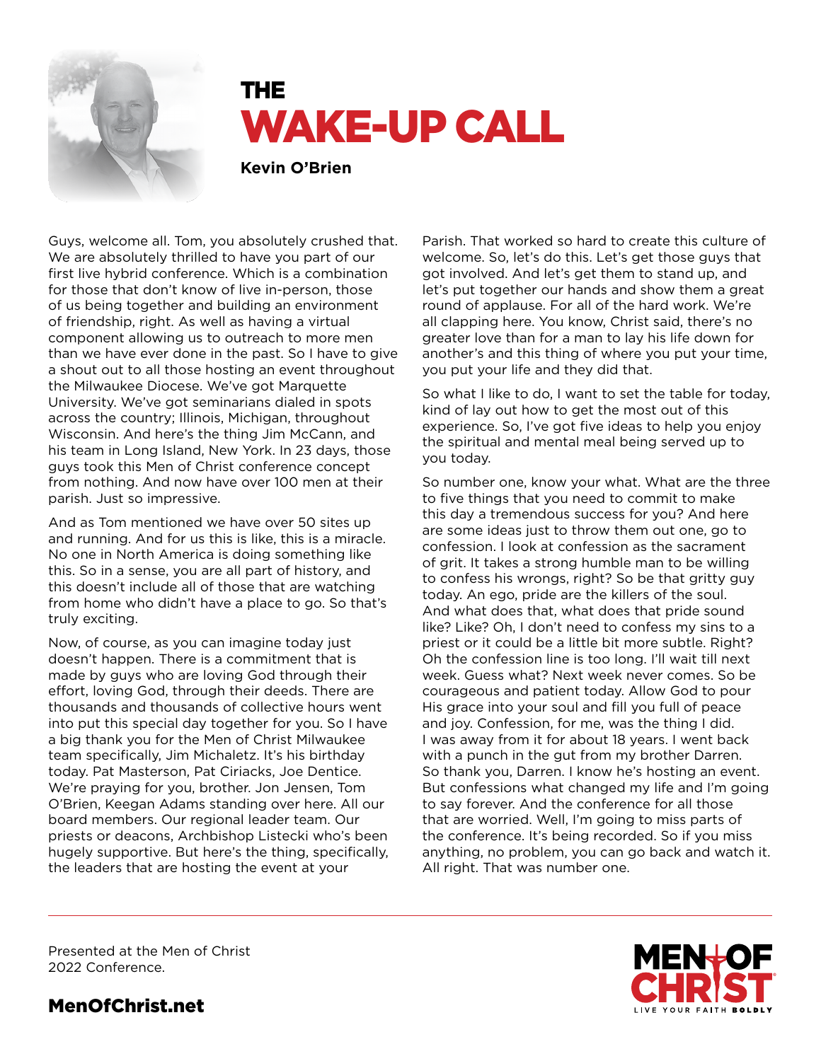

# THE WAKE-UP CALL

**Kevin O'Brien**

Guys, welcome all. Tom, you absolutely crushed that. We are absolutely thrilled to have you part of our first live hybrid conference. Which is a combination for those that don't know of live in-person, those of us being together and building an environment of friendship, right. As well as having a virtual component allowing us to outreach to more men than we have ever done in the past. So I have to give a shout out to all those hosting an event throughout the Milwaukee Diocese. We've got Marquette University. We've got seminarians dialed in spots across the country; Illinois, Michigan, throughout Wisconsin. And here's the thing Jim McCann, and his team in Long Island, New York. In 23 days, those guys took this Men of Christ conference concept from nothing. And now have over 100 men at their parish. Just so impressive.

And as Tom mentioned we have over 50 sites up and running. And for us this is like, this is a miracle. No one in North America is doing something like this. So in a sense, you are all part of history, and this doesn't include all of those that are watching from home who didn't have a place to go. So that's truly exciting.

Now, of course, as you can imagine today just doesn't happen. There is a commitment that is made by guys who are loving God through their effort, loving God, through their deeds. There are thousands and thousands of collective hours went into put this special day together for you. So I have a big thank you for the Men of Christ Milwaukee team specifically, Jim Michaletz. It's his birthday today. Pat Masterson, Pat Ciriacks, Joe Dentice. We're praying for you, brother. Jon Jensen, Tom O'Brien, Keegan Adams standing over here. All our board members. Our regional leader team. Our priests or deacons, Archbishop Listecki who's been hugely supportive. But here's the thing, specifically, the leaders that are hosting the event at your

Parish. That worked so hard to create this culture of welcome. So, let's do this. Let's get those guys that got involved. And let's get them to stand up, and let's put together our hands and show them a great round of applause. For all of the hard work. We're all clapping here. You know, Christ said, there's no greater love than for a man to lay his life down for another's and this thing of where you put your time, you put your life and they did that.

So what I like to do, I want to set the table for today, kind of lay out how to get the most out of this experience. So, I've got five ideas to help you enjoy the spiritual and mental meal being served up to you today.

So number one, know your what. What are the three to five things that you need to commit to make this day a tremendous success for you? And here are some ideas just to throw them out one, go to confession. I look at confession as the sacrament of grit. It takes a strong humble man to be willing to confess his wrongs, right? So be that gritty guy today. An ego, pride are the killers of the soul. And what does that, what does that pride sound like? Like? Oh, I don't need to confess my sins to a priest or it could be a little bit more subtle. Right? Oh the confession line is too long. I'll wait till next week. Guess what? Next week never comes. So be courageous and patient today. Allow God to pour His grace into your soul and fill you full of peace and joy. Confession, for me, was the thing I did. I was away from it for about 18 years. I went back with a punch in the gut from my brother Darren. So thank you, Darren. I know he's hosting an event. But confessions what changed my life and I'm going to say forever. And the conference for all those that are worried. Well, I'm going to miss parts of the conference. It's being recorded. So if you miss anything, no problem, you can go back and watch it. All right. That was number one.

**IVE YOUR FAITH BOLDL** 

Presented at the Men of Christ 2022 Conference.

# MenOfChrist.net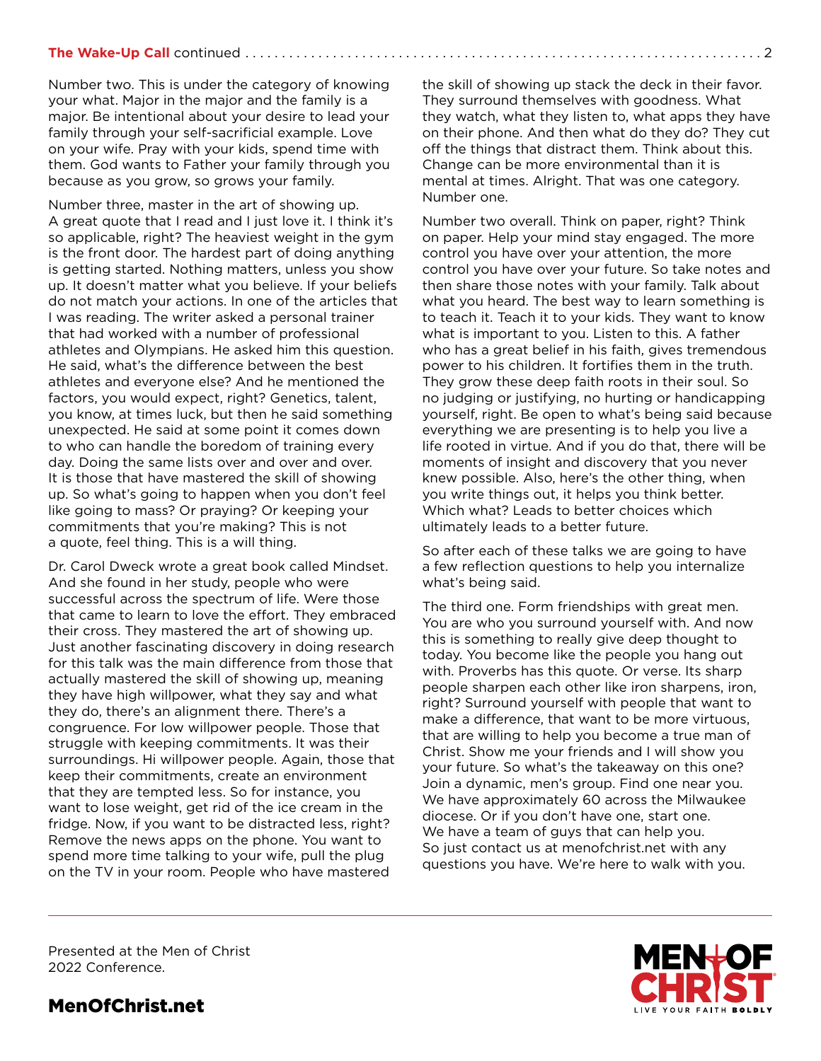## **The Wake-Up Call** continued . . . . . . . . .

Number two. This is under the category of knowing your what. Major in the major and the family is a major. Be intentional about your desire to lead your family through your self-sacrificial example. Love on your wife. Pray with your kids, spend time with them. God wants to Father your family through you because as you grow, so grows your family.

Number three, master in the art of showing up. A great quote that I read and I just love it. I think it's so applicable, right? The heaviest weight in the gym is the front door. The hardest part of doing anything is getting started. Nothing matters, unless you show up. It doesn't matter what you believe. If your beliefs do not match your actions. In one of the articles that I was reading. The writer asked a personal trainer that had worked with a number of professional athletes and Olympians. He asked him this question. He said, what's the difference between the best athletes and everyone else? And he mentioned the factors, you would expect, right? Genetics, talent, you know, at times luck, but then he said something unexpected. He said at some point it comes down to who can handle the boredom of training every day. Doing the same lists over and over and over. It is those that have mastered the skill of showing up. So what's going to happen when you don't feel like going to mass? Or praying? Or keeping your commitments that you're making? This is not a quote, feel thing. This is a will thing.

Dr. Carol Dweck wrote a great book called Mindset. And she found in her study, people who were successful across the spectrum of life. Were those that came to learn to love the effort. They embraced their cross. They mastered the art of showing up. Just another fascinating discovery in doing research for this talk was the main difference from those that actually mastered the skill of showing up, meaning they have high willpower, what they say and what they do, there's an alignment there. There's a congruence. For low willpower people. Those that struggle with keeping commitments. It was their surroundings. Hi willpower people. Again, those that keep their commitments, create an environment that they are tempted less. So for instance, you want to lose weight, get rid of the ice cream in the fridge. Now, if you want to be distracted less, right? Remove the news apps on the phone. You want to spend more time talking to your wife, pull the plug on the TV in your room. People who have mastered

the skill of showing up stack the deck in their favor. They surround themselves with goodness. What they watch, what they listen to, what apps they have on their phone. And then what do they do? They cut off the things that distract them. Think about this. Change can be more environmental than it is mental at times. Alright. That was one category. Number one.

Number two overall. Think on paper, right? Think on paper. Help your mind stay engaged. The more control you have over your attention, the more control you have over your future. So take notes and then share those notes with your family. Talk about what you heard. The best way to learn something is to teach it. Teach it to your kids. They want to know what is important to you. Listen to this. A father who has a great belief in his faith, gives tremendous power to his children. It fortifies them in the truth. They grow these deep faith roots in their soul. So no judging or justifying, no hurting or handicapping yourself, right. Be open to what's being said because everything we are presenting is to help you live a life rooted in virtue. And if you do that, there will be moments of insight and discovery that you never knew possible. Also, here's the other thing, when you write things out, it helps you think better. Which what? Leads to better choices which ultimately leads to a better future.

So after each of these talks we are going to have a few reflection questions to help you internalize what's being said.

The third one. Form friendships with great men. You are who you surround yourself with. And now this is something to really give deep thought to today. You become like the people you hang out with. Proverbs has this quote. Or verse. Its sharp people sharpen each other like iron sharpens, iron, right? Surround yourself with people that want to make a difference, that want to be more virtuous, that are willing to help you become a true man of Christ. Show me your friends and I will show you your future. So what's the takeaway on this one? Join a dynamic, men's group. Find one near you. We have approximately 60 across the Milwaukee diocese. Or if you don't have one, start one. We have a team of guys that can help you. So just contact us at menofchrist.net with any questions you have. We're here to walk with you.

Presented at the Men of Christ 2022 Conference.



MenOfChrist.net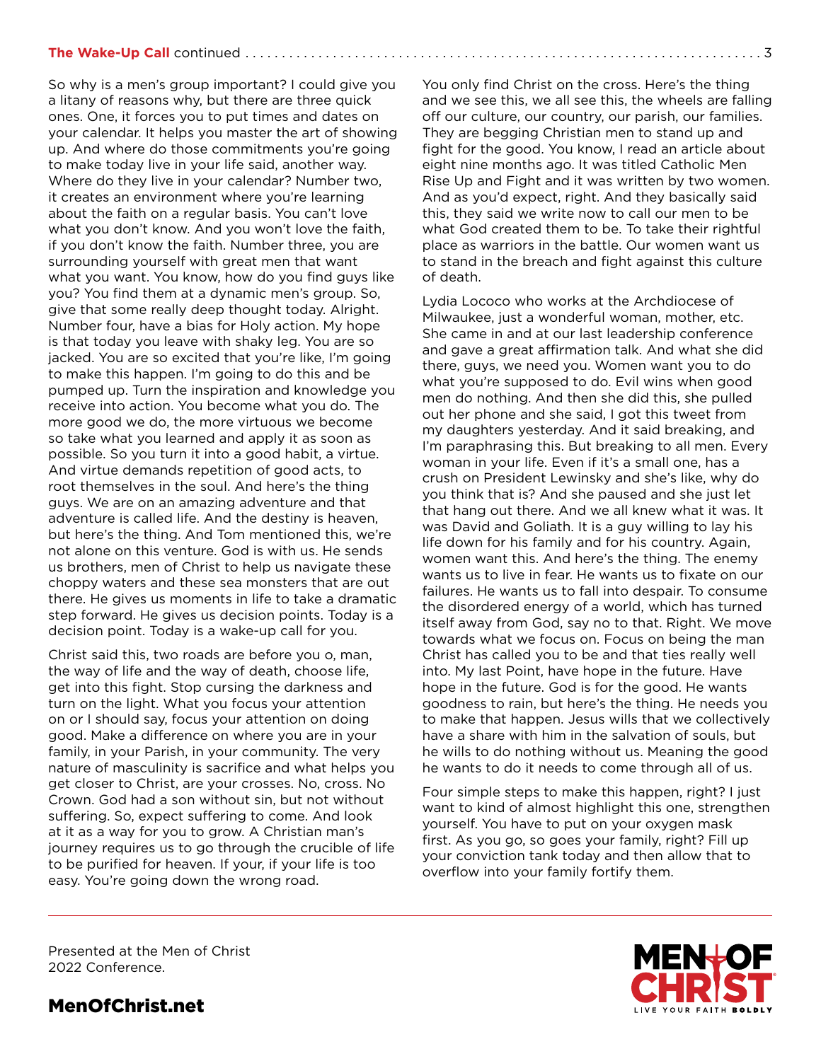## **The Wake-Up Call** continued. . 3

So why is a men's group important? I could give you a litany of reasons why, but there are three quick ones. One, it forces you to put times and dates on your calendar. It helps you master the art of showing up. And where do those commitments you're going to make today live in your life said, another way. Where do they live in your calendar? Number two, it creates an environment where you're learning about the faith on a regular basis. You can't love what you don't know. And you won't love the faith, if you don't know the faith. Number three, you are surrounding yourself with great men that want what you want. You know, how do you find guys like you? You find them at a dynamic men's group. So, give that some really deep thought today. Alright. Number four, have a bias for Holy action. My hope is that today you leave with shaky leg. You are so jacked. You are so excited that you're like, I'm going to make this happen. I'm going to do this and be pumped up. Turn the inspiration and knowledge you receive into action. You become what you do. The more good we do, the more virtuous we become so take what you learned and apply it as soon as possible. So you turn it into a good habit, a virtue. And virtue demands repetition of good acts, to root themselves in the soul. And here's the thing guys. We are on an amazing adventure and that adventure is called life. And the destiny is heaven, but here's the thing. And Tom mentioned this, we're not alone on this venture. God is with us. He sends us brothers, men of Christ to help us navigate these choppy waters and these sea monsters that are out there. He gives us moments in life to take a dramatic step forward. He gives us decision points. Today is a decision point. Today is a wake-up call for you.

Christ said this, two roads are before you o, man, the way of life and the way of death, choose life, get into this fight. Stop cursing the darkness and turn on the light. What you focus your attention on or I should say, focus your attention on doing good. Make a difference on where you are in your family, in your Parish, in your community. The very nature of masculinity is sacrifice and what helps you get closer to Christ, are your crosses. No, cross. No Crown. God had a son without sin, but not without suffering. So, expect suffering to come. And look at it as a way for you to grow. A Christian man's journey requires us to go through the crucible of life to be purified for heaven. If your, if your life is too easy. You're going down the wrong road.

You only find Christ on the cross. Here's the thing and we see this, we all see this, the wheels are falling off our culture, our country, our parish, our families. They are begging Christian men to stand up and fight for the good. You know, I read an article about eight nine months ago. It was titled Catholic Men Rise Up and Fight and it was written by two women. And as you'd expect, right. And they basically said this, they said we write now to call our men to be what God created them to be. To take their rightful place as warriors in the battle. Our women want us to stand in the breach and fight against this culture of death.

Lydia Lococo who works at the Archdiocese of Milwaukee, just a wonderful woman, mother, etc. She came in and at our last leadership conference and gave a great affirmation talk. And what she did there, guys, we need you. Women want you to do what you're supposed to do. Evil wins when good men do nothing. And then she did this, she pulled out her phone and she said, I got this tweet from my daughters yesterday. And it said breaking, and I'm paraphrasing this. But breaking to all men. Every woman in your life. Even if it's a small one, has a crush on President Lewinsky and she's like, why do you think that is? And she paused and she just let that hang out there. And we all knew what it was. It was David and Goliath. It is a guy willing to lay his life down for his family and for his country. Again, women want this. And here's the thing. The enemy wants us to live in fear. He wants us to fixate on our failures. He wants us to fall into despair. To consume the disordered energy of a world, which has turned itself away from God, say no to that. Right. We move towards what we focus on. Focus on being the man Christ has called you to be and that ties really well into. My last Point, have hope in the future. Have hope in the future. God is for the good. He wants goodness to rain, but here's the thing. He needs you to make that happen. Jesus wills that we collectively have a share with him in the salvation of souls, but he wills to do nothing without us. Meaning the good he wants to do it needs to come through all of us.

Four simple steps to make this happen, right? I just want to kind of almost highlight this one, strengthen yourself. You have to put on your oxygen mask first. As you go, so goes your family, right? Fill up your conviction tank today and then allow that to overflow into your family fortify them.

Presented at the Men of Christ 2022 Conference.



MenOfChrist.net